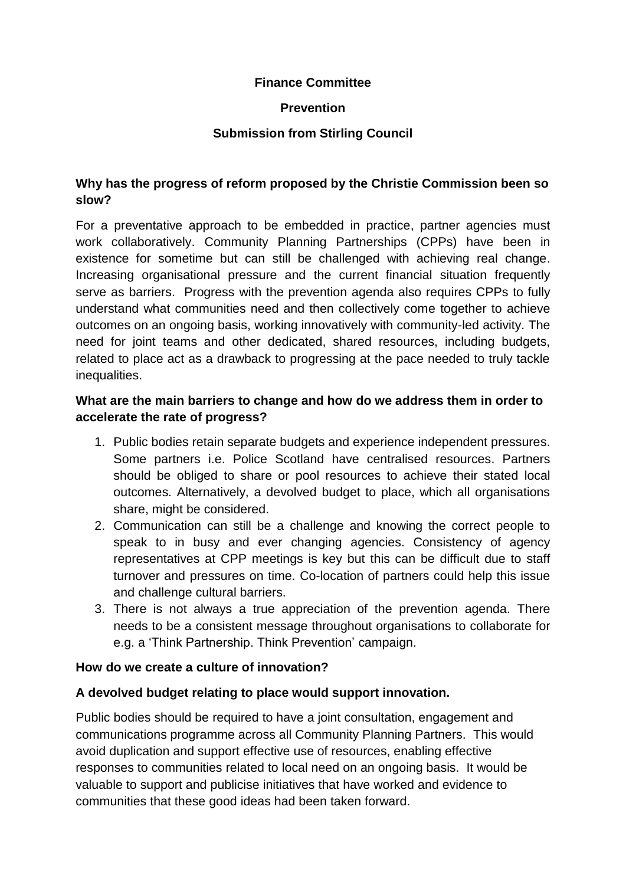#### **Finance Committee**

#### **Prevention**

# **Submission from Stirling Council**

### **Why has the progress of reform proposed by the Christie Commission been so slow?**

For a preventative approach to be embedded in practice, partner agencies must work collaboratively. Community Planning Partnerships (CPPs) have been in existence for sometime but can still be challenged with achieving real change. Increasing organisational pressure and the current financial situation frequently serve as barriers. Progress with the prevention agenda also requires CPPs to fully understand what communities need and then collectively come together to achieve outcomes on an ongoing basis, working innovatively with community-led activity. The need for joint teams and other dedicated, shared resources, including budgets, related to place act as a drawback to progressing at the pace needed to truly tackle inequalities.

#### **What are the main barriers to change and how do we address them in order to accelerate the rate of progress?**

- 1. Public bodies retain separate budgets and experience independent pressures. Some partners i.e. Police Scotland have centralised resources. Partners should be obliged to share or pool resources to achieve their stated local outcomes. Alternatively, a devolved budget to place, which all organisations share, might be considered.
- 2. Communication can still be a challenge and knowing the correct people to speak to in busy and ever changing agencies. Consistency of agency representatives at CPP meetings is key but this can be difficult due to staff turnover and pressures on time. Co-location of partners could help this issue and challenge cultural barriers.
- 3. There is not always a true appreciation of the prevention agenda. There needs to be a consistent message throughout organisations to collaborate for e.g. a 'Think Partnership. Think Prevention' campaign.

#### **How do we create a culture of innovation?**

#### **A devolved budget relating to place would support innovation.**

Public bodies should be required to have a joint consultation, engagement and communications programme across all Community Planning Partners. This would avoid duplication and support effective use of resources, enabling effective responses to communities related to local need on an ongoing basis. It would be valuable to support and publicise initiatives that have worked and evidence to communities that these good ideas had been taken forward.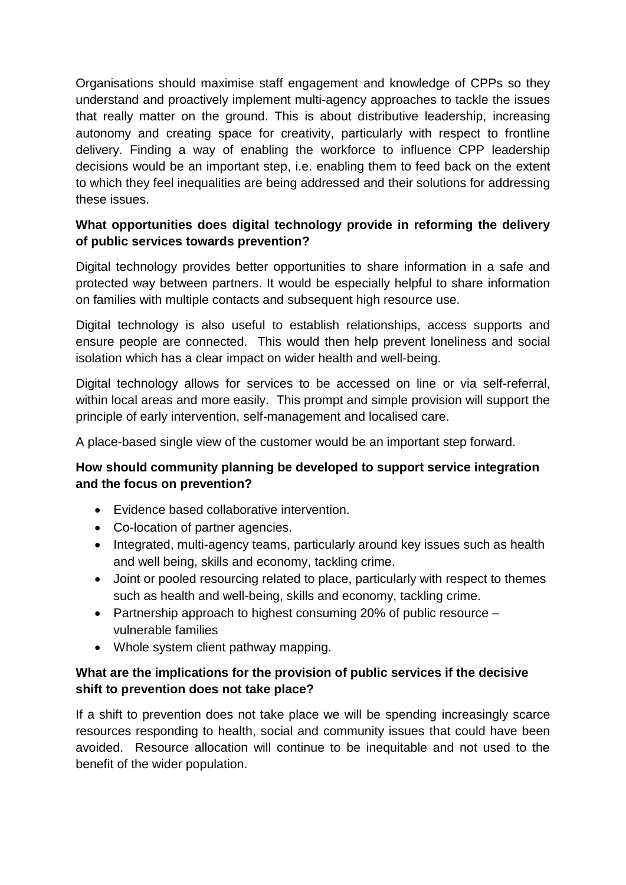Organisations should maximise staff engagement and knowledge of CPPs so they understand and proactively implement multi-agency approaches to tackle the issues that really matter on the ground. This is about distributive leadership, increasing autonomy and creating space for creativity, particularly with respect to frontline delivery. Finding a way of enabling the workforce to influence CPP leadership decisions would be an important step, i.e. enabling them to feed back on the extent to which they feel inequalities are being addressed and their solutions for addressing these issues.

# **What opportunities does digital technology provide in reforming the delivery of public services towards prevention?**

Digital technology provides better opportunities to share information in a safe and protected way between partners. It would be especially helpful to share information on families with multiple contacts and subsequent high resource use.

Digital technology is also useful to establish relationships, access supports and ensure people are connected. This would then help prevent loneliness and social isolation which has a clear impact on wider health and well-being.

Digital technology allows for services to be accessed on line or via self-referral, within local areas and more easily. This prompt and simple provision will support the principle of early intervention, self-management and localised care.

A place-based single view of the customer would be an important step forward.

#### **How should community planning be developed to support service integration and the focus on prevention?**

- Evidence based collaborative intervention.
- Co-location of partner agencies.
- Integrated, multi-agency teams, particularly around key issues such as health and well being, skills and economy, tackling crime.
- Joint or pooled resourcing related to place, particularly with respect to themes such as health and well-being, skills and economy, tackling crime.
- Partnership approach to highest consuming 20% of public resource vulnerable families
- Whole system client pathway mapping.

# **What are the implications for the provision of public services if the decisive shift to prevention does not take place?**

If a shift to prevention does not take place we will be spending increasingly scarce resources responding to health, social and community issues that could have been avoided. Resource allocation will continue to be inequitable and not used to the benefit of the wider population.